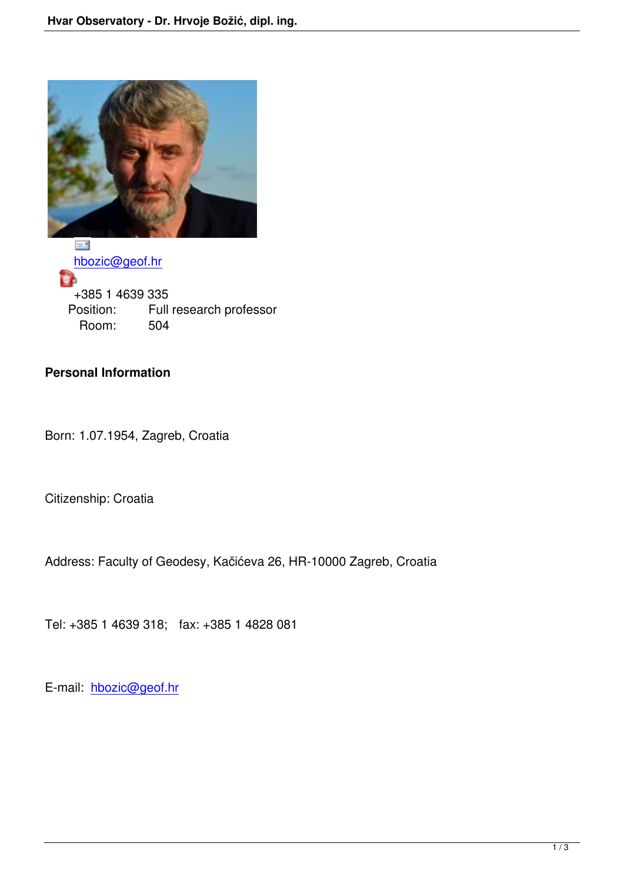

 hbozic@geof.hr ŧ +385 1 4639 335 [Position: Fu](mailto:hbozic@geof.hr)ll research professor<br>Room: 504 Room:

## **Personal Information**

Born: 1.07.1954, Zagreb, Croatia

Citizenship: Croatia

Address: Faculty of Geodesy, Kačićeva 26, HR-10000 Zagreb, Croatia

Tel: +385 1 4639 318; fax: +385 1 4828 081

E-mail: hbozic@geof.hr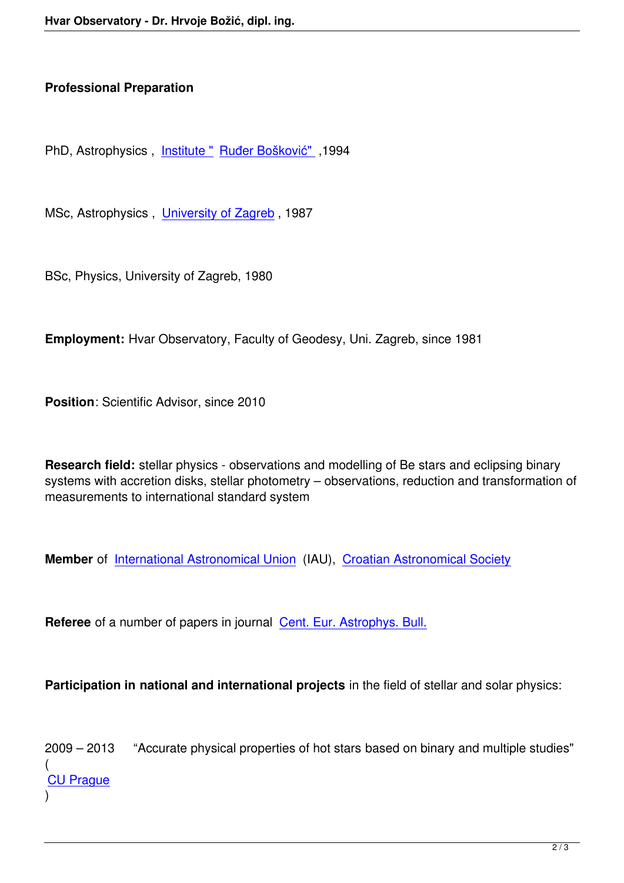## **Professional Preparation**

PhD, Astrophysics , Institute " Ruđer Bošković" ,1994

MSc, Astrophysics, [University](http://www.irb.hr/) [of Zagreb](http://www.unizg.hr/), 1987

BSc, Physics, Univer[sity of Zagreb, 1980](http://www.iau.org/)

**Employment:** Hvar Observatory, Faculty of Geodesy, Uni. Zagreb, since 1981

**Position**: Scientific Advisor, since 2010

**Research field:** stellar physics - observations and modelling of Be stars and eclipsing binary systems with accretion disks, stellar photometry – observations, reduction and transformation of measurements to international standard system

**Member** of International Astronomical Union (IAU), Croatian Astronomical Society

**Referee** of [a number of papers in journal Cen](http://astronomija.hr/)t. Eur. [Astrophys. Bull.](index.php/en/publications/ceab)

**Participation in national and internatio[nal projects](http://www.cuni.cz/UKENG-1.html)** in the field of stellar and solar physics:

2009 – 2013 "Accurate physical properties of hot stars based on binary and multiple studies" ( CU Prague )